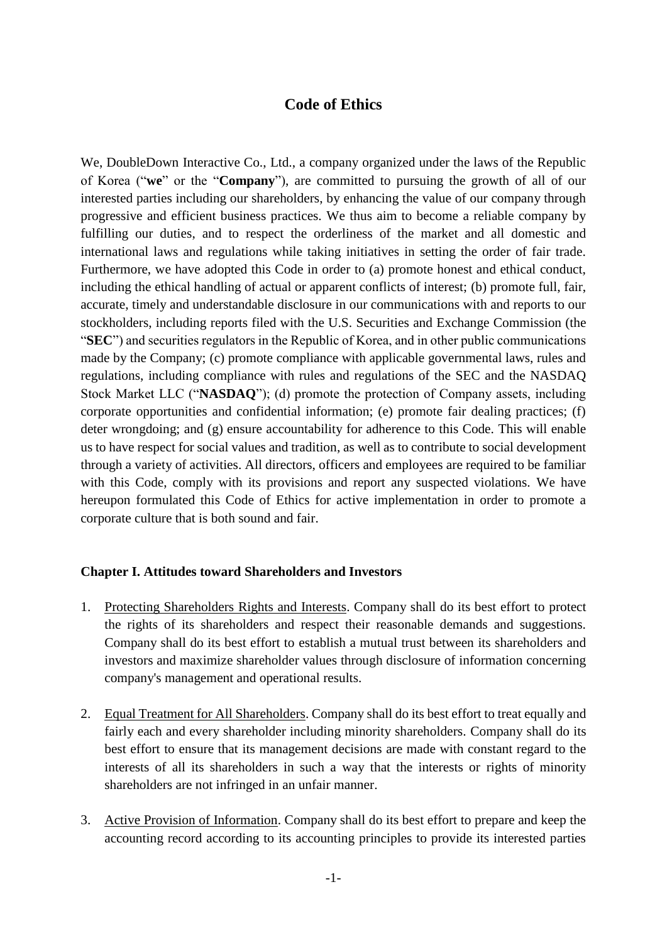# **Code of Ethics**

We, DoubleDown Interactive Co., Ltd., a company organized under the laws of the Republic of Korea ("**we**" or the "**Company**"), are committed to pursuing the growth of all of our interested parties including our shareholders, by enhancing the value of our company through progressive and efficient business practices. We thus aim to become a reliable company by fulfilling our duties, and to respect the orderliness of the market and all domestic and international laws and regulations while taking initiatives in setting the order of fair trade. Furthermore, we have adopted this Code in order to (a) promote honest and ethical conduct, including the ethical handling of actual or apparent conflicts of interest; (b) promote full, fair, accurate, timely and understandable disclosure in our communications with and reports to our stockholders, including reports filed with the U.S. Securities and Exchange Commission (the "**SEC**") and securities regulators in the Republic of Korea, and in other public communications made by the Company; (c) promote compliance with applicable governmental laws, rules and regulations, including compliance with rules and regulations of the SEC and the NASDAQ Stock Market LLC ("**NASDAQ**"); (d) promote the protection of Company assets, including corporate opportunities and confidential information; (e) promote fair dealing practices; (f) deter wrongdoing; and (g) ensure accountability for adherence to this Code. This will enable us to have respect for social values and tradition, as well as to contribute to social development through a variety of activities. All directors, officers and employees are required to be familiar with this Code, comply with its provisions and report any suspected violations. We have hereupon formulated this Code of Ethics for active implementation in order to promote a corporate culture that is both sound and fair.

#### **Chapter I. Attitudes toward Shareholders and Investors**

- 1. Protecting Shareholders Rights and Interests. Company shall do its best effort to protect the rights of its shareholders and respect their reasonable demands and suggestions. Company shall do its best effort to establish a mutual trust between its shareholders and investors and maximize shareholder values through disclosure of information concerning company's management and operational results.
- 2. Equal Treatment for All Shareholders. Company shall do its best effort to treat equally and fairly each and every shareholder including minority shareholders. Company shall do its best effort to ensure that its management decisions are made with constant regard to the interests of all its shareholders in such a way that the interests or rights of minority shareholders are not infringed in an unfair manner.
- 3. Active Provision of Information. Company shall do its best effort to prepare and keep the accounting record according to its accounting principles to provide its interested parties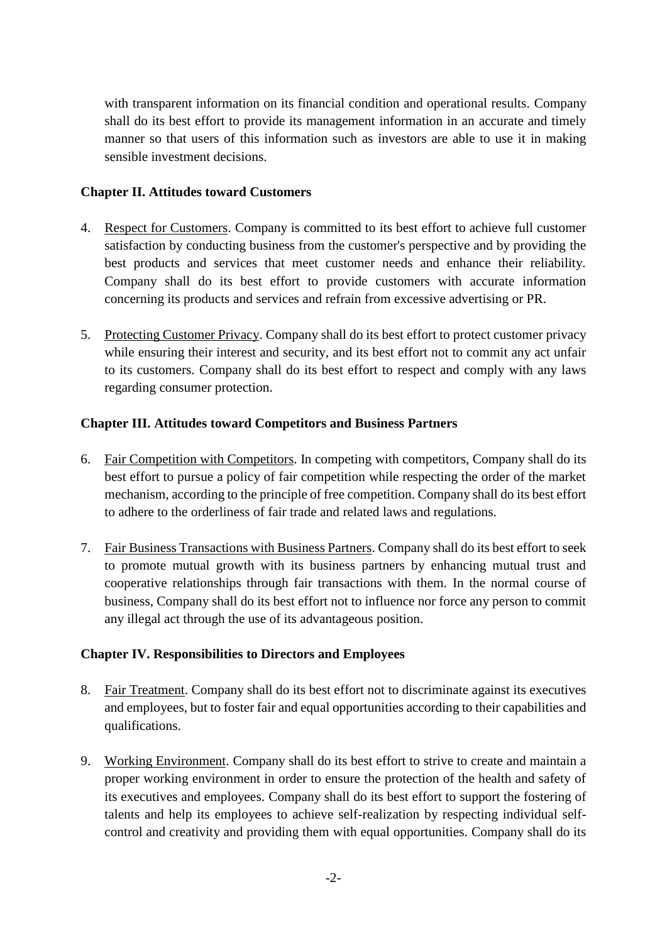with transparent information on its financial condition and operational results. Company shall do its best effort to provide its management information in an accurate and timely manner so that users of this information such as investors are able to use it in making sensible investment decisions.

# **Chapter II. Attitudes toward Customers**

- 4. Respect for Customers. Company is committed to its best effort to achieve full customer satisfaction by conducting business from the customer's perspective and by providing the best products and services that meet customer needs and enhance their reliability. Company shall do its best effort to provide customers with accurate information concerning its products and services and refrain from excessive advertising or PR.
- 5. Protecting Customer Privacy. Company shall do its best effort to protect customer privacy while ensuring their interest and security, and its best effort not to commit any act unfair to its customers. Company shall do its best effort to respect and comply with any laws regarding consumer protection.

## **Chapter III. Attitudes toward Competitors and Business Partners**

- 6. Fair Competition with Competitors. In competing with competitors, Company shall do its best effort to pursue a policy of fair competition while respecting the order of the market mechanism, according to the principle of free competition. Company shall do its best effort to adhere to the orderliness of fair trade and related laws and regulations.
- 7. Fair Business Transactions with Business Partners. Company shall do its best effort to seek to promote mutual growth with its business partners by enhancing mutual trust and cooperative relationships through fair transactions with them. In the normal course of business, Company shall do its best effort not to influence nor force any person to commit any illegal act through the use of its advantageous position.

# **Chapter IV. Responsibilities to Directors and Employees**

- 8. Fair Treatment. Company shall do its best effort not to discriminate against its executives and employees, but to foster fair and equal opportunities according to their capabilities and qualifications.
- 9. Working Environment. Company shall do its best effort to strive to create and maintain a proper working environment in order to ensure the protection of the health and safety of its executives and employees. Company shall do its best effort to support the fostering of talents and help its employees to achieve self-realization by respecting individual selfcontrol and creativity and providing them with equal opportunities. Company shall do its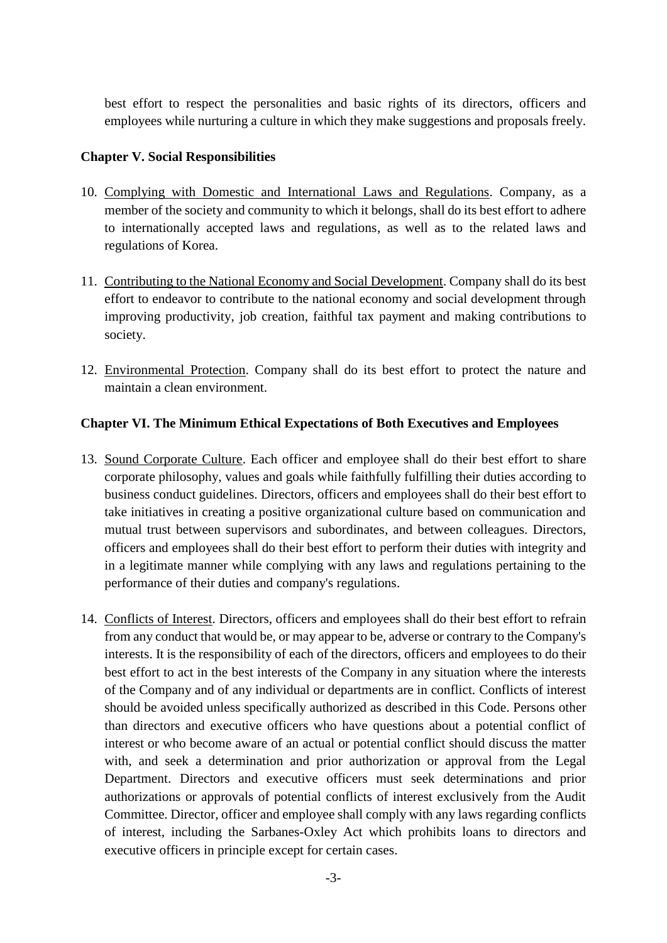best effort to respect the personalities and basic rights of its directors, officers and employees while nurturing a culture in which they make suggestions and proposals freely.

#### **Chapter V. Social Responsibilities**

- 10. Complying with Domestic and International Laws and Regulations. Company, as a member of the society and community to which it belongs, shall do its best effort to adhere to internationally accepted laws and regulations, as well as to the related laws and regulations of Korea.
- 11. Contributing to the National Economy and Social Development. Company shall do its best effort to endeavor to contribute to the national economy and social development through improving productivity, job creation, faithful tax payment and making contributions to society.
- 12. Environmental Protection. Company shall do its best effort to protect the nature and maintain a clean environment.

## **Chapter VI. The Minimum Ethical Expectations of Both Executives and Employees**

- 13. Sound Corporate Culture. Each officer and employee shall do their best effort to share corporate philosophy, values and goals while faithfully fulfilling their duties according to business conduct guidelines. Directors, officers and employees shall do their best effort to take initiatives in creating a positive organizational culture based on communication and mutual trust between supervisors and subordinates, and between colleagues. Directors, officers and employees shall do their best effort to perform their duties with integrity and in a legitimate manner while complying with any laws and regulations pertaining to the performance of their duties and company's regulations.
- 14. Conflicts of Interest. Directors, officers and employees shall do their best effort to refrain from any conduct that would be, or may appear to be, adverse or contrary to the Company's interests. It is the responsibility of each of the directors, officers and employees to do their best effort to act in the best interests of the Company in any situation where the interests of the Company and of any individual or departments are in conflict. Conflicts of interest should be avoided unless specifically authorized as described in this Code. Persons other than directors and executive officers who have questions about a potential conflict of interest or who become aware of an actual or potential conflict should discuss the matter with, and seek a determination and prior authorization or approval from the Legal Department. Directors and executive officers must seek determinations and prior authorizations or approvals of potential conflicts of interest exclusively from the Audit Committee. Director, officer and employee shall comply with any laws regarding conflicts of interest, including the Sarbanes-Oxley Act which prohibits loans to directors and executive officers in principle except for certain cases.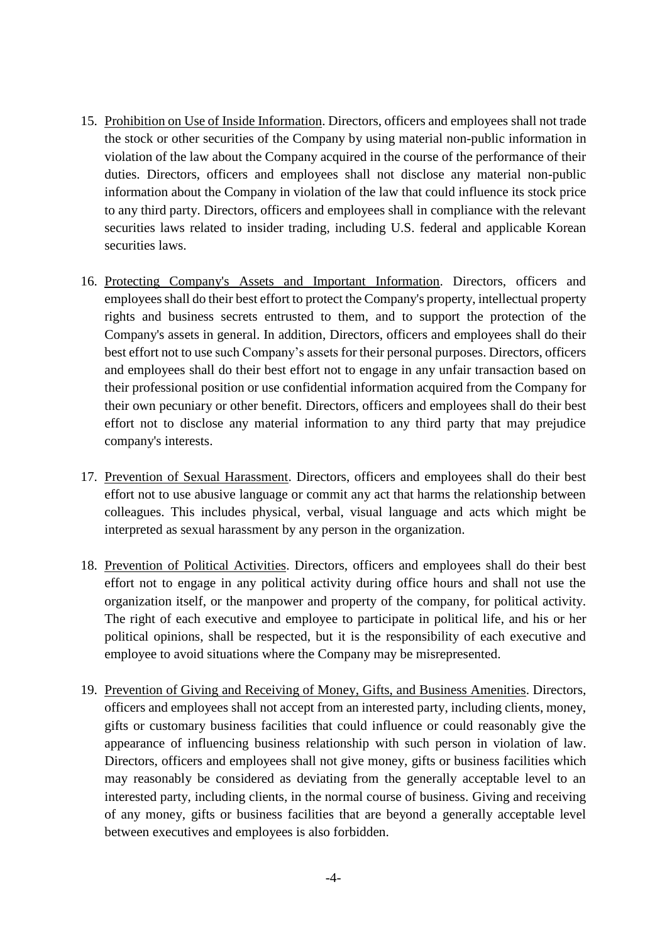- 15. Prohibition on Use of Inside Information. Directors, officers and employees shall not trade the stock or other securities of the Company by using material non-public information in violation of the law about the Company acquired in the course of the performance of their duties. Directors, officers and employees shall not disclose any material non-public information about the Company in violation of the law that could influence its stock price to any third party. Directors, officers and employees shall in compliance with the relevant securities laws related to insider trading, including U.S. federal and applicable Korean securities laws.
- 16. Protecting Company's Assets and Important Information. Directors, officers and employees shall do their best effort to protect the Company's property, intellectual property rights and business secrets entrusted to them, and to support the protection of the Company's assets in general. In addition, Directors, officers and employees shall do their best effort not to use such Company's assets for their personal purposes. Directors, officers and employees shall do their best effort not to engage in any unfair transaction based on their professional position or use confidential information acquired from the Company for their own pecuniary or other benefit. Directors, officers and employees shall do their best effort not to disclose any material information to any third party that may prejudice company's interests.
- 17. Prevention of Sexual Harassment. Directors, officers and employees shall do their best effort not to use abusive language or commit any act that harms the relationship between colleagues. This includes physical, verbal, visual language and acts which might be interpreted as sexual harassment by any person in the organization.
- 18. Prevention of Political Activities. Directors, officers and employees shall do their best effort not to engage in any political activity during office hours and shall not use the organization itself, or the manpower and property of the company, for political activity. The right of each executive and employee to participate in political life, and his or her political opinions, shall be respected, but it is the responsibility of each executive and employee to avoid situations where the Company may be misrepresented.
- 19. Prevention of Giving and Receiving of Money, Gifts, and Business Amenities. Directors, officers and employees shall not accept from an interested party, including clients, money, gifts or customary business facilities that could influence or could reasonably give the appearance of influencing business relationship with such person in violation of law. Directors, officers and employees shall not give money, gifts or business facilities which may reasonably be considered as deviating from the generally acceptable level to an interested party, including clients, in the normal course of business. Giving and receiving of any money, gifts or business facilities that are beyond a generally acceptable level between executives and employees is also forbidden.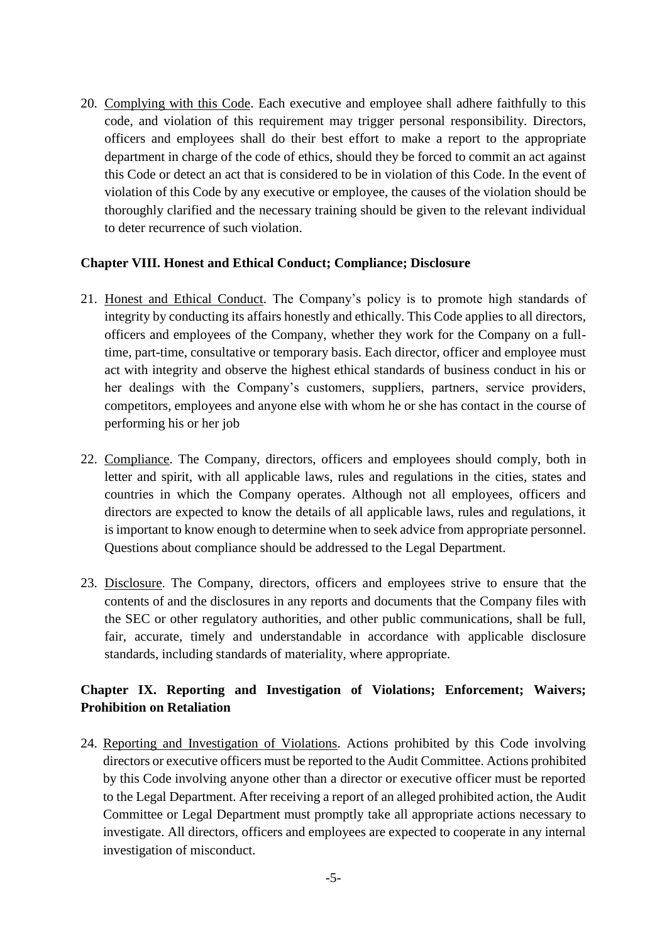20. Complying with this Code. Each executive and employee shall adhere faithfully to this code, and violation of this requirement may trigger personal responsibility. Directors, officers and employees shall do their best effort to make a report to the appropriate department in charge of the code of ethics, should they be forced to commit an act against this Code or detect an act that is considered to be in violation of this Code. In the event of violation of this Code by any executive or employee, the causes of the violation should be thoroughly clarified and the necessary training should be given to the relevant individual to deter recurrence of such violation.

## **Chapter VIII. Honest and Ethical Conduct; Compliance; Disclosure**

- 21. Honest and Ethical Conduct. The Company's policy is to promote high standards of integrity by conducting its affairs honestly and ethically. This Code applies to all directors, officers and employees of the Company, whether they work for the Company on a fulltime, part-time, consultative or temporary basis. Each director, officer and employee must act with integrity and observe the highest ethical standards of business conduct in his or her dealings with the Company's customers, suppliers, partners, service providers, competitors, employees and anyone else with whom he or she has contact in the course of performing his or her job
- 22. Compliance. The Company, directors, officers and employees should comply, both in letter and spirit, with all applicable laws, rules and regulations in the cities, states and countries in which the Company operates. Although not all employees, officers and directors are expected to know the details of all applicable laws, rules and regulations, it is important to know enough to determine when to seek advice from appropriate personnel. Questions about compliance should be addressed to the Legal Department.
- 23. Disclosure. The Company, directors, officers and employees strive to ensure that the contents of and the disclosures in any reports and documents that the Company files with the SEC or other regulatory authorities, and other public communications, shall be full, fair, accurate, timely and understandable in accordance with applicable disclosure standards, including standards of materiality, where appropriate.

# **Chapter IX. Reporting and Investigation of Violations; Enforcement; Waivers; Prohibition on Retaliation**

24. Reporting and Investigation of Violations. Actions prohibited by this Code involving directors or executive officers must be reported to the Audit Committee. Actions prohibited by this Code involving anyone other than a director or executive officer must be reported to the Legal Department. After receiving a report of an alleged prohibited action, the Audit Committee or Legal Department must promptly take all appropriate actions necessary to investigate. All directors, officers and employees are expected to cooperate in any internal investigation of misconduct.